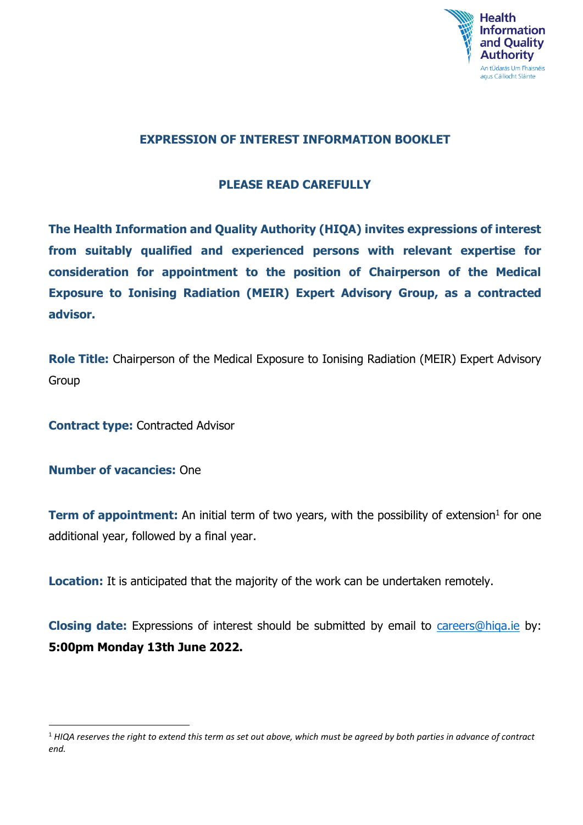

### **EXPRESSION OF INTEREST INFORMATION BOOKLET**

### **PLEASE READ CAREFULLY**

**The Health Information and Quality Authority (HIQA) invites expressions of interest from suitably qualified and experienced persons with relevant expertise for consideration for appointment to the position of Chairperson of the Medical Exposure to Ionising Radiation (MEIR) Expert Advisory Group, as a contracted advisor.**

**Role Title:** Chairperson of the Medical Exposure to Ionising Radiation (MEIR) Expert Advisory Group

**Contract type:** Contracted Advisor

**Number of vacancies:** One

 $\ddot{\phantom{a}}$ 

**Term of appointment:** An initial term of two years, with the possibility of extension<sup>1</sup> for one additional year, followed by a final year.

**Location:** It is anticipated that the majority of the work can be undertaken remotely.

**Closing date:** Expressions of interest should be submitted by email to *careers@higa.ie* by: **5:00pm Monday 13th June 2022.**

<sup>1</sup> *HIQA reserves the right to extend this term as set out above, which must be agreed by both parties in advance of contract end.*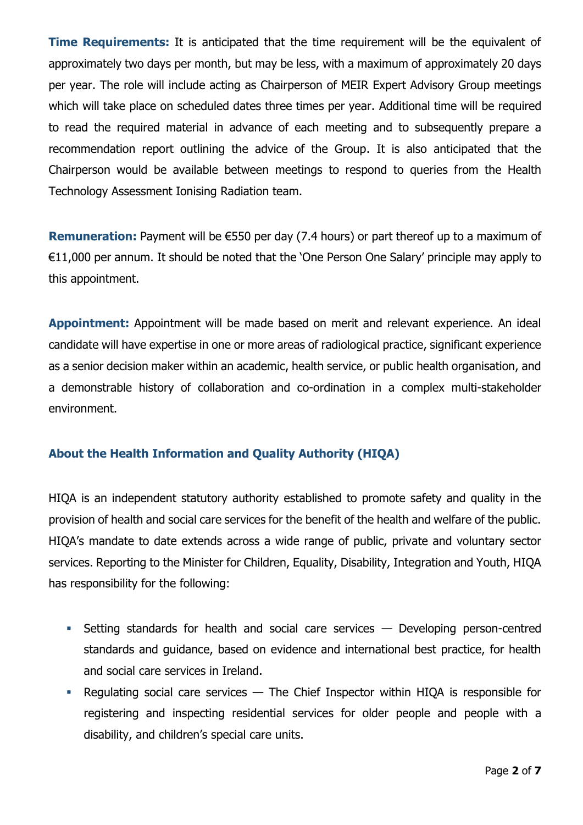**Time Requirements:** It is anticipated that the time requirement will be the equivalent of approximately two days per month, but may be less, with a maximum of approximately 20 days per year. The role will include acting as Chairperson of MEIR Expert Advisory Group meetings which will take place on scheduled dates three times per year. Additional time will be required to read the required material in advance of each meeting and to subsequently prepare a recommendation report outlining the advice of the Group. It is also anticipated that the Chairperson would be available between meetings to respond to queries from the Health Technology Assessment Ionising Radiation team.

**Remuneration:** Payment will be €550 per day (7.4 hours) or part thereof up to a maximum of €11,000 per annum. It should be noted that the 'One Person One Salary' principle may apply to this appointment.

**Appointment:** Appointment will be made based on merit and relevant experience. An ideal candidate will have expertise in one or more areas of radiological practice, significant experience as a senior decision maker within an academic, health service, or public health organisation, and a demonstrable history of collaboration and co-ordination in a complex multi-stakeholder environment.

# **About the Health Information and Quality Authority (HIQA)**

HIQA is an independent statutory authority established to promote safety and quality in the provision of health and social care services for the benefit of the health and welfare of the public. HIQA's mandate to date extends across a wide range of public, private and voluntary sector services. Reporting to the Minister for Children, Equality, Disability, Integration and Youth, HIQA has responsibility for the following:

- Setting standards for health and social care services Developing person-centred standards and guidance, based on evidence and international best practice, for health and social care services in Ireland.
- Requiating social care services  $-$  The Chief Inspector within HIQA is responsible for registering and inspecting residential services for older people and people with a disability, and children's special care units.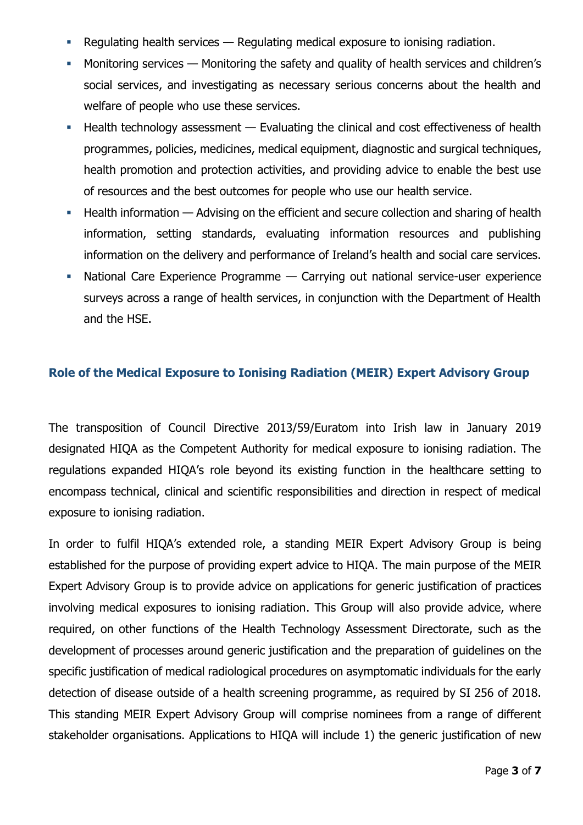- Regulating health services Regulating medical exposure to ionising radiation.
- **Monitoring services Monitoring the safety and quality of health services and children's** social services, and investigating as necessary serious concerns about the health and welfare of people who use these services.
- $\blacksquare$  Health technology assessment  $\smash{\boldsymbol{\mathsf{N}}}$  Evaluating the clinical and cost effectiveness of health programmes, policies, medicines, medical equipment, diagnostic and surgical techniques, health promotion and protection activities, and providing advice to enable the best use of resources and the best outcomes for people who use our health service.
- Health information Advising on the efficient and secure collection and sharing of health information, setting standards, evaluating information resources and publishing information on the delivery and performance of Ireland's health and social care services.
- National Care Experience Programme Carrying out national service-user experience surveys across a range of health services, in conjunction with the Department of Health and the HSE.

#### **Role of the Medical Exposure to Ionising Radiation (MEIR) Expert Advisory Group**

The transposition of Council Directive 2013/59/Euratom into Irish law in January 2019 designated HIQA as the Competent Authority for medical exposure to ionising radiation. The regulations expanded HIQA's role beyond its existing function in the healthcare setting to encompass technical, clinical and scientific responsibilities and direction in respect of medical exposure to ionising radiation.

In order to fulfil HIQA's extended role, a standing MEIR Expert Advisory Group is being established for the purpose of providing expert advice to HIQA. The main purpose of the MEIR Expert Advisory Group is to provide advice on applications for generic justification of practices involving medical exposures to ionising radiation. This Group will also provide advice, where required, on other functions of the Health Technology Assessment Directorate, such as the development of processes around generic justification and the preparation of guidelines on the specific justification of medical radiological procedures on asymptomatic individuals for the early detection of disease outside of a health screening programme, as required by SI 256 of 2018. This standing MEIR Expert Advisory Group will comprise nominees from a range of different stakeholder organisations. Applications to HIQA will include 1) the generic justification of new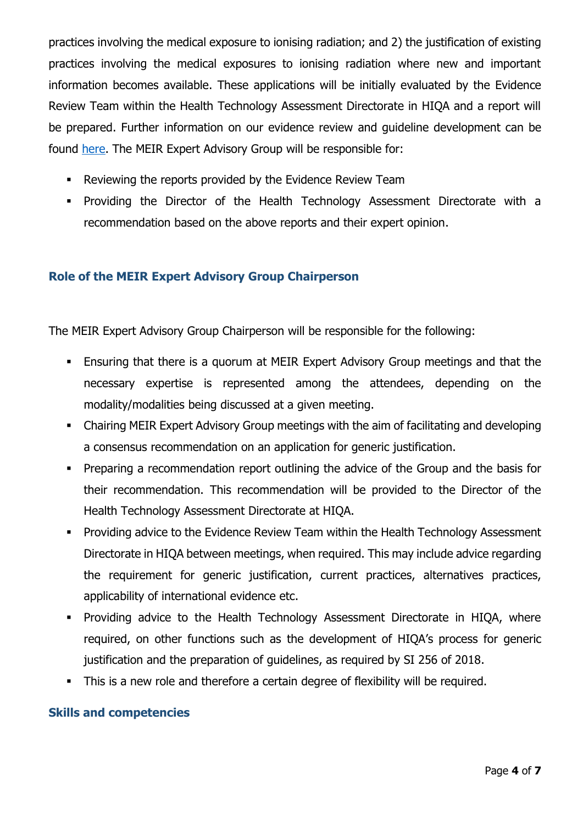practices involving the medical exposure to ionising radiation; and 2) the justification of existing practices involving the medical exposures to ionising radiation where new and important information becomes available. These applications will be initially evaluated by the Evidence Review Team within the Health Technology Assessment Directorate in HIQA and a report will be prepared. Further information on our evidence review and guideline development can be found [here.](https://www.hiqa.ie/areas-we-work/ionising-radiation/evidence-review-guideline-development) The MEIR Expert Advisory Group will be responsible for:

- Reviewing the reports provided by the Evidence Review Team
- Providing the Director of the Health Technology Assessment Directorate with a recommendation based on the above reports and their expert opinion.

#### **Role of the MEIR Expert Advisory Group Chairperson**

The MEIR Expert Advisory Group Chairperson will be responsible for the following:

- Ensuring that there is a quorum at MEIR Expert Advisory Group meetings and that the necessary expertise is represented among the attendees, depending on the modality/modalities being discussed at a given meeting.
- Chairing MEIR Expert Advisory Group meetings with the aim of facilitating and developing a consensus recommendation on an application for generic justification.
- Preparing a recommendation report outlining the advice of the Group and the basis for their recommendation. This recommendation will be provided to the Director of the Health Technology Assessment Directorate at HIQA.
- **Providing advice to the Evidence Review Team within the Health Technology Assessment** Directorate in HIQA between meetings, when required. This may include advice regarding the requirement for generic justification, current practices, alternatives practices, applicability of international evidence etc.
- **Providing advice to the Health Technology Assessment Directorate in HIQA, where** required, on other functions such as the development of HIQA's process for generic justification and the preparation of guidelines, as required by SI 256 of 2018.
- This is a new role and therefore a certain degree of flexibility will be required.

#### **Skills and competencies**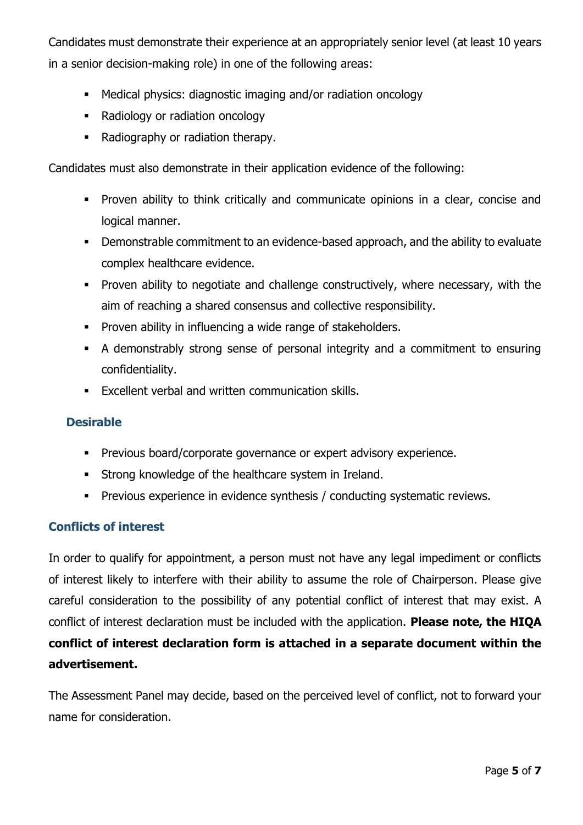Candidates must demonstrate their experience at an appropriately senior level (at least 10 years in a senior decision-making role) in one of the following areas:

- Medical physics: diagnostic imaging and/or radiation oncology
- Radiology or radiation oncology
- Radiography or radiation therapy.

Candidates must also demonstrate in their application evidence of the following:

- **Proven ability to think critically and communicate opinions in a clear, concise and** logical manner.
- Demonstrable commitment to an evidence-based approach, and the ability to evaluate complex healthcare evidence.
- Proven ability to negotiate and challenge constructively, where necessary, with the aim of reaching a shared consensus and collective responsibility.
- **Proven ability in influencing a wide range of stakeholders.**
- A demonstrably strong sense of personal integrity and a commitment to ensuring confidentiality.
- Excellent verbal and written communication skills.

### **Desirable**

- **Previous board/corporate governance or expert advisory experience.**
- **Strong knowledge of the healthcare system in Ireland.**
- **Previous experience in evidence synthesis / conducting systematic reviews.**

#### **Conflicts of interest**

In order to qualify for appointment, a person must not have any legal impediment or conflicts of interest likely to interfere with their ability to assume the role of Chairperson. Please give careful consideration to the possibility of any potential conflict of interest that may exist. A conflict of interest declaration must be included with the application. **Please note, the HIQA conflict of interest declaration form is attached in a separate document within the advertisement.**

The Assessment Panel may decide, based on the perceived level of conflict, not to forward your name for consideration.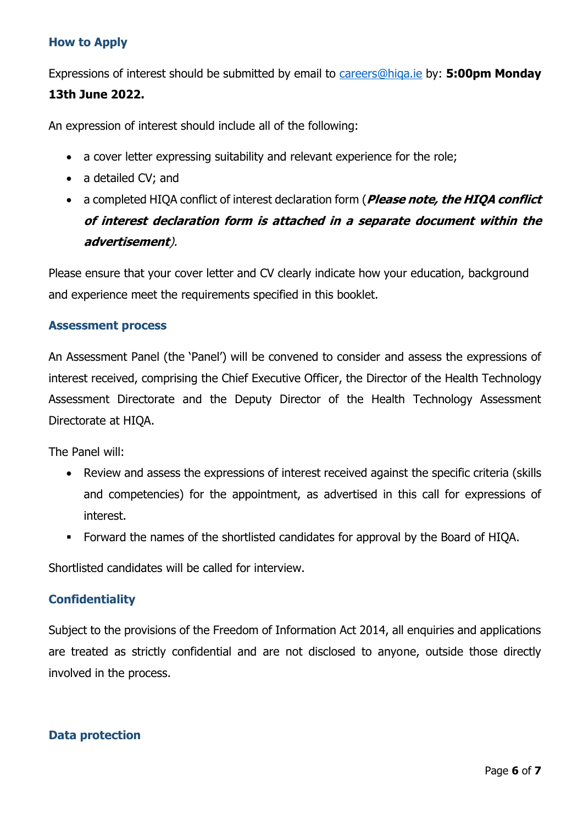# **How to Apply**

Expressions of interest should be submitted by email to [careers@hiqa.ie](mailto:careers@hiqa.ie) by: **5:00pm Monday** 

# **13th June 2022.**

An expression of interest should include all of the following:

- a cover letter expressing suitability and relevant experience for the role;
- a detailed CV; and
- a completed HIQA conflict of interest declaration form (**Please note, the HIQA conflict of interest declaration form is attached in a separate document within the advertisement**).

Please ensure that your cover letter and CV clearly indicate how your education, background and experience meet the requirements specified in this booklet.

### **Assessment process**

An Assessment Panel (the 'Panel') will be convened to consider and assess the expressions of interest received, comprising the Chief Executive Officer, the Director of the Health Technology Assessment Directorate and the Deputy Director of the Health Technology Assessment Directorate at HIQA.

The Panel will:

- Review and assess the expressions of interest received against the specific criteria (skills and competencies) for the appointment, as advertised in this call for expressions of interest.
- Forward the names of the shortlisted candidates for approval by the Board of HIQA.

Shortlisted candidates will be called for interview.

# **Confidentiality**

Subject to the provisions of the Freedom of Information Act 2014, all enquiries and applications are treated as strictly confidential and are not disclosed to anyone, outside those directly involved in the process.

### **Data protection**